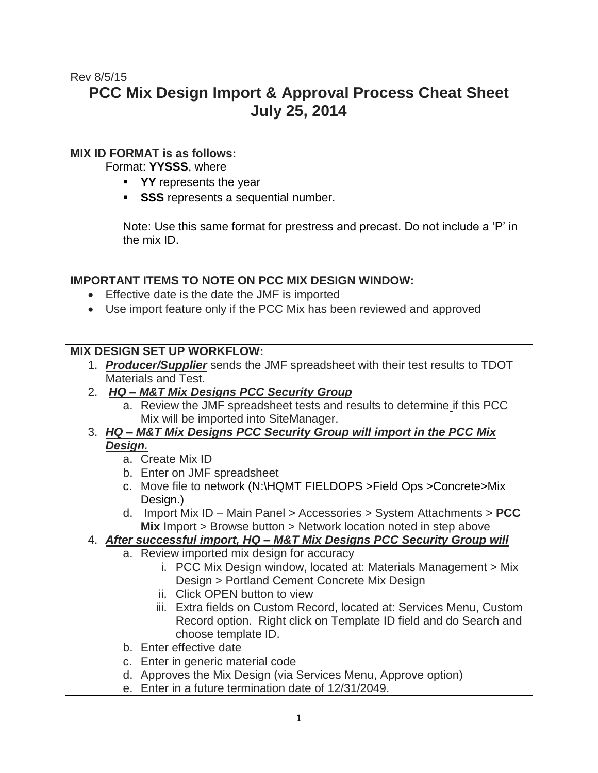# Rev 8/5/15 **PCC Mix Design Import & Approval Process Cheat Sheet July 25, 2014**

### **MIX ID FORMAT is as follows:**

Format: **YYSSS**, where

- **YY** represents the year
- **SSS** represents a sequential number.

Note: Use this same format for prestress and precast. Do not include a 'P' in the mix ID.

### **IMPORTANT ITEMS TO NOTE ON PCC MIX DESIGN WINDOW:**

- Effective date is the date the JMF is imported
- Use import feature only if the PCC Mix has been reviewed and approved

### **MIX DESIGN SET UP WORKFLOW:**

- 1. *Producer/Supplier* sends the JMF spreadsheet with their test results to TDOT Materials and Test.
- 2. *HQ – M&T Mix Designs PCC Security Group*
	- a. Review the JMF spreadsheet tests and results to determine if this PCC Mix will be imported into SiteManager.
- 3. *HQ – M&T Mix Designs PCC Security Group will import in the PCC Mix Design.* 
	- a. Create Mix ID
	- b. Enter on JMF spreadsheet
	- c. Move file to network (N:\HQMT FIELDOPS >Field Ops >Concrete>Mix Design.)
	- d. Import Mix ID Main Panel > Accessories > System Attachments > **PCC Mix** Import > Browse button > Network location noted in step above

## 4. *After successful import, HQ – M&T Mix Designs PCC Security Group will*

- a. Review imported mix design for accuracy
	- i. PCC Mix Design window, located at: Materials Management > Mix Design > Portland Cement Concrete Mix Design
	- ii. Click OPEN button to view
	- iii. Extra fields on Custom Record, located at: Services Menu, Custom Record option. Right click on Template ID field and do Search and choose template ID.
- b. Enter effective date
- c. Enter in generic material code
- d. Approves the Mix Design (via Services Menu, Approve option)
- e. Enter in a future termination date of 12/31/2049.